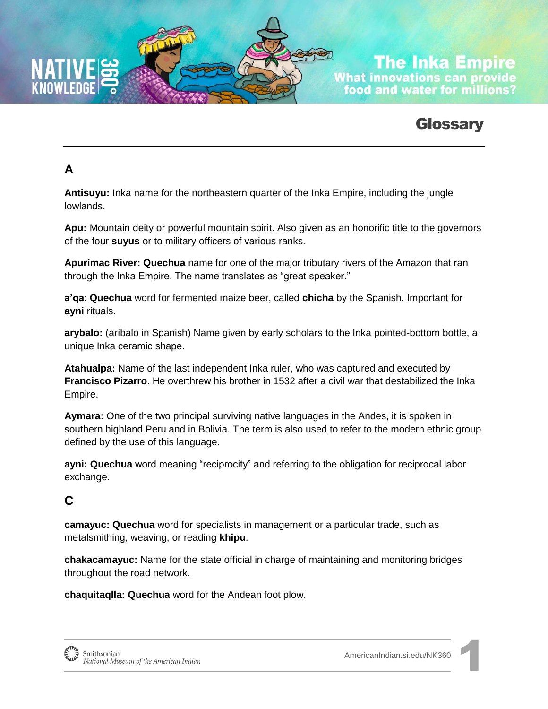

**The Inka Empire What innovations can provide** food and water for millions?

# **Glossary**

# **A**

**Antisuyu:** Inka name for the northeastern quarter of the Inka Empire, including the jungle lowlands.

**Apu:** Mountain deity or powerful mountain spirit. Also given as an honorific title to the governors of the four **suyus** or to military officers of various ranks.

**Apurímac River: Quechua** name for one of the major tributary rivers of the Amazon that ran through the Inka Empire. The name translates as "great speaker."

**a'qa**: **Quechua** word for fermented maize beer, called **chicha** by the Spanish. Important for **ayni** rituals.

**arybalo:** (aríbalo in Spanish) Name given by early scholars to the Inka pointed-bottom bottle, a unique Inka ceramic shape.

**Atahualpa:** Name of the last independent Inka ruler, who was captured and executed by **Francisco Pizarro**. He overthrew his brother in 1532 after a civil war that destabilized the Inka Empire.

**Aymara:** One of the two principal surviving native languages in the Andes, it is spoken in southern highland Peru and in Bolivia. The term is also used to refer to the modern ethnic group defined by the use of this language.

**ayni: Quechua** word meaning "reciprocity" and referring to the obligation for reciprocal labor exchange.

## **C**

**camayuc: Quechua** word for specialists in management or a particular trade, such as metalsmithing, weaving, or reading **khipu**.

**chakacamayuc:** Name for the state official in charge of maintaining and monitoring bridges throughout the road network.

**chaquitaqlla: Quechua** word for the Andean foot plow.

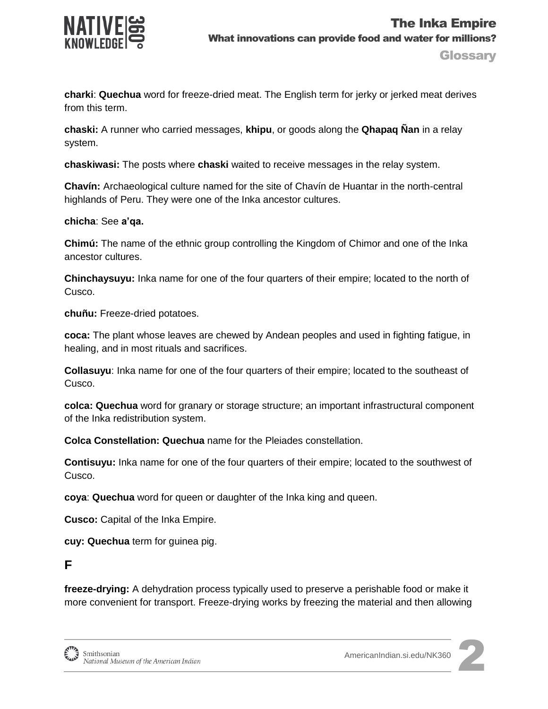

**charki**: **Quechua** word for freeze-dried meat. The English term for jerky or jerked meat derives from this term.

**chaski:** A runner who carried messages, **khipu**, or goods along the **Qhapaq Ñan** in a relay system.

**chaskiwasi:** The posts where **chaski** waited to receive messages in the relay system.

**Chavín:** Archaeological culture named for the site of Chavín de Huantar in the north-central highlands of Peru. They were one of the Inka ancestor cultures.

#### **chicha**: See **a'qa.**

**Chimú:** The name of the ethnic group controlling the Kingdom of Chimor and one of the Inka ancestor cultures.

**Chinchaysuyu:** Inka name for one of the four quarters of their empire; located to the north of Cusco.

**chuñu:** Freeze-dried potatoes.

**coca:** The plant whose leaves are chewed by Andean peoples and used in fighting fatigue, in healing, and in most rituals and sacrifices.

**Collasuyu**: Inka name for one of the four quarters of their empire; located to the southeast of Cusco.

**colca: Quechua** word for granary or storage structure; an important infrastructural component of the Inka redistribution system.

**Colca Constellation: Quechua** name for the Pleiades constellation.

**Contisuyu:** Inka name for one of the four quarters of their empire; located to the southwest of Cusco.

**coya**: **Quechua** word for queen or daughter of the Inka king and queen.

**Cusco:** Capital of the Inka Empire.

**cuy: Quechua** term for guinea pig.

#### **F**

**freeze-drying:** A dehydration process typically used to preserve a perishable food or make it more convenient for transport. Freeze-drying works by freezing the material and then allowing



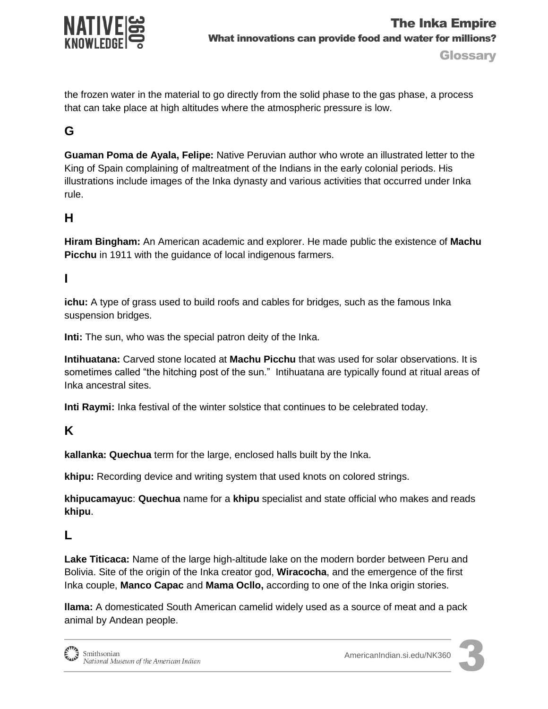

the frozen water in the material to go directly from the solid phase to the gas phase, a process that can take place at high altitudes where the atmospheric pressure is low.

## **G**

**Guaman Poma de Ayala, Felipe:** Native Peruvian author who wrote an illustrated letter to the King of Spain complaining of maltreatment of the Indians in the early colonial periods. His illustrations include images of the Inka dynasty and various activities that occurred under Inka rule.

### **H**

**Hiram Bingham:** An American academic and explorer. He made public the existence of **Machu Picchu** in 1911 with the guidance of local indigenous farmers.

#### **I**

**ichu:** A type of grass used to build roofs and cables for bridges, such as the famous Inka suspension bridges.

**Inti:** The sun, who was the special patron deity of the Inka.

**Intihuatana:** Carved stone located at **Machu Picchu** that was used for solar observations. It is sometimes called "the hitching post of the sun." Intihuatana are typically found at ritual areas of Inka ancestral sites.

**Inti Raymi:** Inka festival of the winter solstice that continues to be celebrated today.

### **K**

**kallanka: Quechua** term for the large, enclosed halls built by the Inka.

**khipu:** Recording device and writing system that used knots on colored strings.

**khipucamayuc**: **Quechua** name for a **khipu** specialist and state official who makes and reads **khipu**.

### **L**

**Lake Titicaca:** Name of the large high-altitude lake on the modern border between Peru and Bolivia. Site of the origin of the Inka creator god, **Wiracocha**, and the emergence of the first Inka couple, **Manco Capac** and **Mama Ocllo,** according to one of the Inka origin stories.

**llama:** A domesticated South American camelid widely used as a source of meat and a pack animal by Andean people.

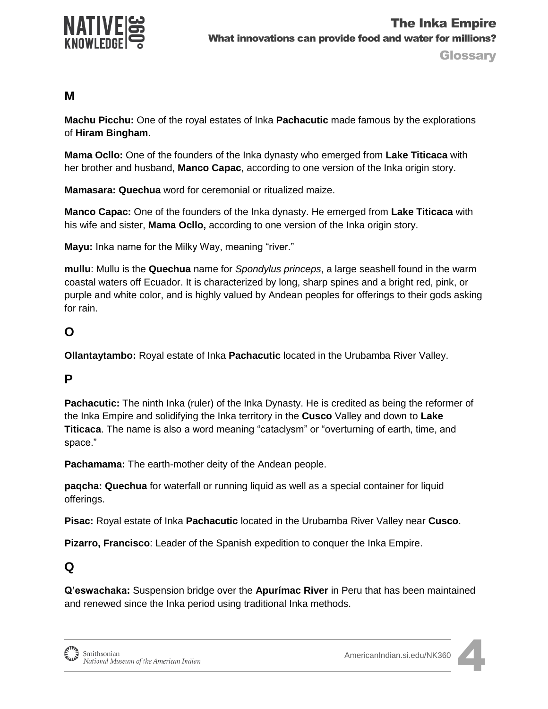

#### **M**

**Machu Picchu:** One of the royal estates of Inka **Pachacutic** made famous by the explorations of **Hiram Bingham**.

**Mama Ocllo:** One of the founders of the Inka dynasty who emerged from **Lake Titicaca** with her brother and husband, **Manco Capac**, according to one version of the Inka origin story.

**Mamasara: Quechua** word for ceremonial or ritualized maize.

**Manco Capac:** One of the founders of the Inka dynasty. He emerged from **Lake Titicaca** with his wife and sister, **Mama Ocllo,** according to one version of the Inka origin story.

**Mayu:** Inka name for the Milky Way, meaning "river."

**mullu**: Mullu is the **Quechua** name for *Spondylus princeps*, a large seashell found in the warm coastal waters off Ecuador. It is characterized by long, sharp spines and a bright red, pink, or purple and white color, and is highly valued by Andean peoples for offerings to their gods asking for rain.

## **O**

**Ollantaytambo:** Royal estate of Inka **Pachacutic** located in the Urubamba River Valley.

### **P**

**Pachacutic:** The ninth Inka (ruler) of the Inka Dynasty. He is credited as being the reformer of the Inka Empire and solidifying the Inka territory in the **Cusco** Valley and down to **Lake Titicaca**. The name is also a word meaning "cataclysm" or "overturning of earth, time, and space."

**Pachamama:** The earth-mother deity of the Andean people.

**paqcha: Quechua** for waterfall or running liquid as well as a special container for liquid offerings.

**Pisac:** Royal estate of Inka **Pachacutic** located in the Urubamba River Valley near **Cusco**.

**Pizarro, Francisco**: Leader of the Spanish expedition to conquer the Inka Empire.

### **Q**

**Q'eswachaka:** Suspension bridge over the **Apurímac River** in Peru that has been maintained and renewed since the Inka period using traditional Inka methods.

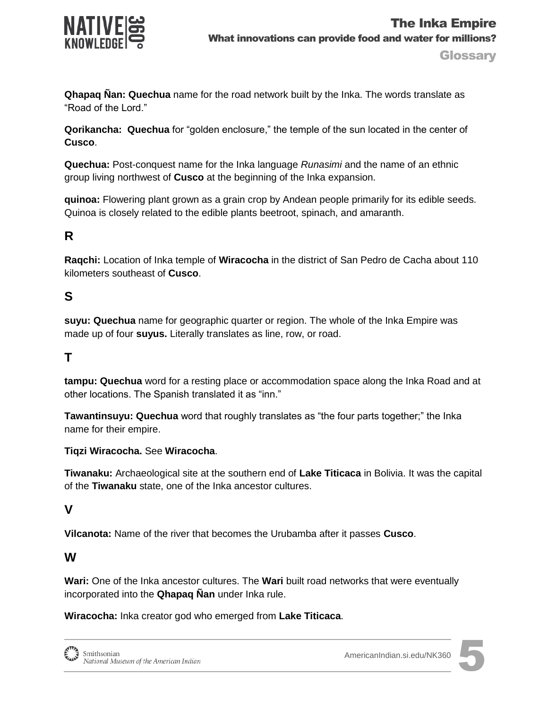

**Glossary** 

**Qhapaq Ñan: Quechua** name for the road network built by the Inka. The words translate as "Road of the Lord."

**Qorikancha: Quechua** for "golden enclosure," the temple of the sun located in the center of **Cusco**.

**Quechua:** Post-conquest name for the Inka language *Runasimi* and the name of an ethnic group living northwest of **Cusco** at the beginning of the Inka expansion.

**quinoa:** Flowering plant grown as a grain crop by Andean people primarily for its edible seeds. Quinoa is closely related to the edible plants beetroot, spinach, and amaranth.

## **R**

**Raqchi:** Location of Inka temple of **Wiracocha** in the district of San Pedro de Cacha about 110 kilometers southeast of **Cusco**.

## **S**

**suyu: Quechua** name for geographic quarter or region. The whole of the Inka Empire was made up of four **suyus.** Literally translates as line, row, or road.

### **T**

**tampu: Quechua** word for a resting place or accommodation space along the Inka Road and at other locations. The Spanish translated it as "inn."

**Tawantinsuyu: Quechua** word that roughly translates as "the four parts together;" the Inka name for their empire.

#### **Tiqzi Wiracocha.** See **Wiracocha**.

**Tiwanaku:** Archaeological site at the southern end of **Lake Titicaca** in Bolivia. It was the capital of the **Tiwanaku** state, one of the Inka ancestor cultures.

#### **V**

**Vilcanota:** Name of the river that becomes the Urubamba after it passes **Cusco**.

#### **W**

**Wari:** One of the Inka ancestor cultures. The **Wari** built road networks that were eventually incorporated into the **Qhapaq Ñan** under Inka rule.

**Wiracocha:** Inka creator god who emerged from **Lake Titicaca**.